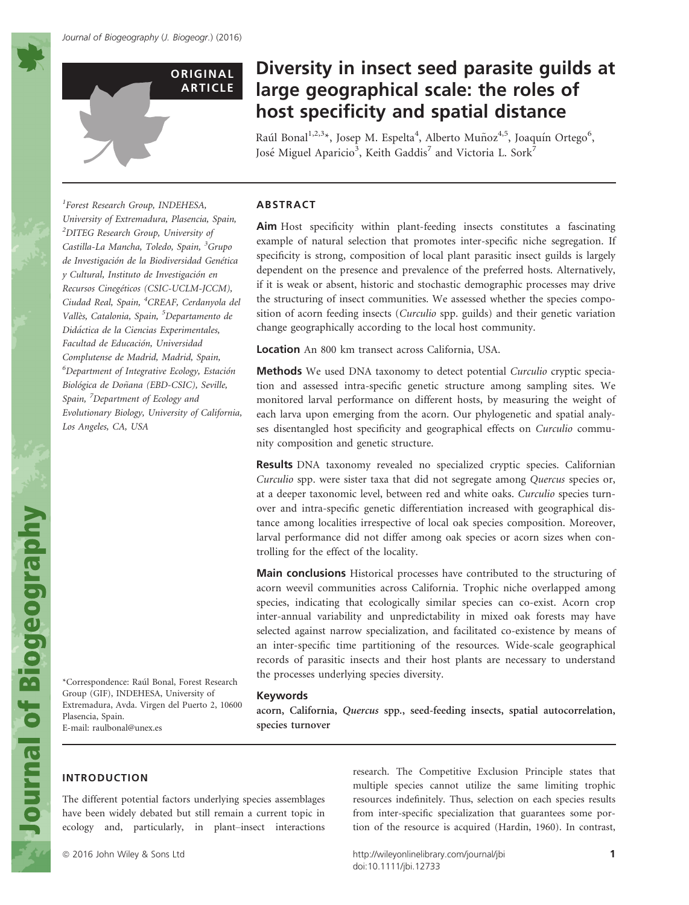

# Diversity in insect seed parasite guilds at large geographical scale: the roles of host specificity and spatial distance

Raúl Bonal<sup>1,2,3</sup>\*, Josep M. Espelta<sup>4</sup>, Alberto Muñoz<sup>4,5</sup>, Joaquín Ortego<sup>6</sup>, José Miguel Aparicio<sup>3</sup>, Keith Gaddis<sup>7</sup> and Victoria L. Sork<sup>7</sup>

1 Forest Research Group, INDEHESA, University of Extremadura, Plasencia, Spain, <sup>2</sup>DITEG Research Group, University of Castilla-La Mancha, Toledo, Spain, <sup>3</sup>Grupo de Investigación de la Biodiversidad Genética y Cultural, Instituto de Investigacion en Recursos Cinegéticos (CSIC-UCLM-JCCM), Ciudad Real, Spain, <sup>4</sup>CREAF, Cerdanyola del Vallès, Catalonia, Spain, <sup>5</sup>Departamento de Didactica de la Ciencias Experimentales, Facultad de Educación, Universidad Complutense de Madrid, Madrid, Spain, <sup>6</sup>Department of Integrative Ecology, Estación Biológica de Doñana (EBD-CSIC), Seville, Spain, <sup>7</sup>Department of Ecology and Evolutionary Biology, University of California, Los Angeles, CA, USA

#### ABSTRACT

Aim Host specificity within plant-feeding insects constitutes a fascinating example of natural selection that promotes inter-specific niche segregation. If specificity is strong, composition of local plant parasitic insect guilds is largely dependent on the presence and prevalence of the preferred hosts. Alternatively, if it is weak or absent, historic and stochastic demographic processes may drive the structuring of insect communities. We assessed whether the species composition of acorn feeding insects (*Curculio* spp. guilds) and their genetic variation change geographically according to the local host community.

Location An 800 km transect across California, USA.

Methods We used DNA taxonomy to detect potential Curculio cryptic speciation and assessed intra-specific genetic structure among sampling sites. We monitored larval performance on different hosts, by measuring the weight of each larva upon emerging from the acorn. Our phylogenetic and spatial analyses disentangled host specificity and geographical effects on Curculio community composition and genetic structure.

Results DNA taxonomy revealed no specialized cryptic species. Californian Curculio spp. were sister taxa that did not segregate among Quercus species or, at a deeper taxonomic level, between red and white oaks. Curculio species turnover and intra-specific genetic differentiation increased with geographical distance among localities irrespective of local oak species composition. Moreover, larval performance did not differ among oak species or acorn sizes when controlling for the effect of the locality.

Main conclusions Historical processes have contributed to the structuring of acorn weevil communities across California. Trophic niche overlapped among species, indicating that ecologically similar species can co-exist. Acorn crop inter-annual variability and unpredictability in mixed oak forests may have selected against narrow specialization, and facilitated co-existence by means of an inter-specific time partitioning of the resources. Wide-scale geographical records of parasitic insects and their host plants are necessary to understand the processes underlying species diversity.

#### Keywords

acorn, California, Quercus spp., seed-feeding insects, spatial autocorrelation, species turnover

\*Correspondence: Raul Bonal, Forest Research Group (GIF), INDEHESA, University of Extremadura, Avda. Virgen del Puerto 2, 10600 Plasencia, Spain. E-mail: raulbonal@unex.es

# INTRODUCTION

The different potential factors underlying species assemblages have been widely debated but still remain a current topic in ecology and, particularly, in plant–insect interactions research. The Competitive Exclusion Principle states that multiple species cannot utilize the same limiting trophic resources indefinitely. Thus, selection on each species results from inter-specific specialization that guarantees some portion of the resource is acquired (Hardin, 1960). In contrast,

ª 2016 John Wiley & Sons Ltd http://wileyonlinelibrary.com/journal/jbi 1 doi:10.1111/jbi.12733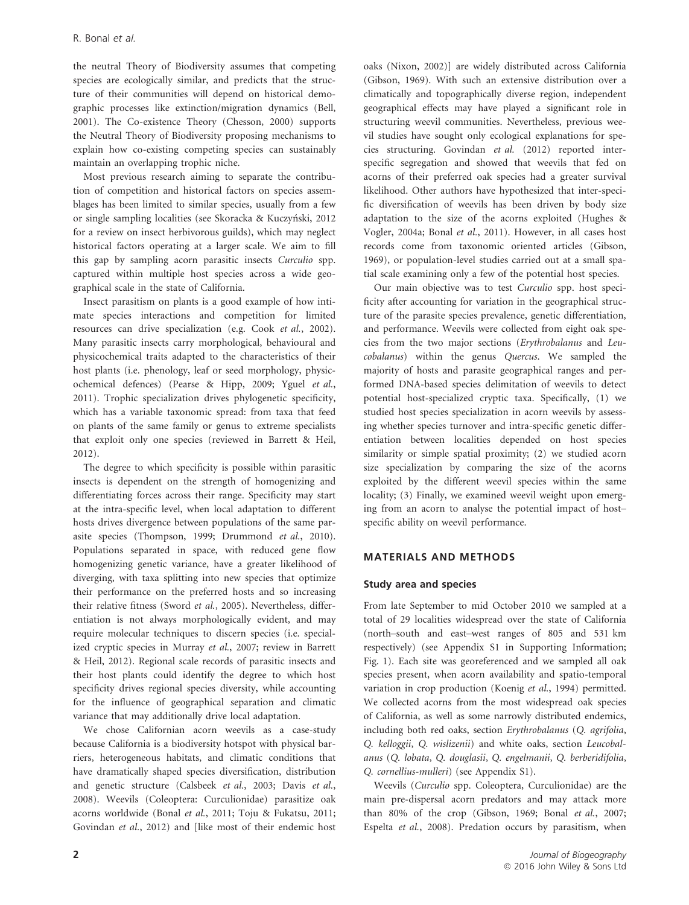the neutral Theory of Biodiversity assumes that competing species are ecologically similar, and predicts that the structure of their communities will depend on historical demographic processes like extinction/migration dynamics (Bell, 2001). The Co-existence Theory (Chesson, 2000) supports the Neutral Theory of Biodiversity proposing mechanisms to explain how co-existing competing species can sustainably maintain an overlapping trophic niche.

Most previous research aiming to separate the contribution of competition and historical factors on species assemblages has been limited to similar species, usually from a few or single sampling localities (see Skoracka & Kuczyński, 2012 for a review on insect herbivorous guilds), which may neglect historical factors operating at a larger scale. We aim to fill this gap by sampling acorn parasitic insects Curculio spp. captured within multiple host species across a wide geographical scale in the state of California.

Insect parasitism on plants is a good example of how intimate species interactions and competition for limited resources can drive specialization (e.g. Cook et al., 2002). Many parasitic insects carry morphological, behavioural and physicochemical traits adapted to the characteristics of their host plants (i.e. phenology, leaf or seed morphology, physicochemical defences) (Pearse & Hipp, 2009; Yguel et al., 2011). Trophic specialization drives phylogenetic specificity, which has a variable taxonomic spread: from taxa that feed on plants of the same family or genus to extreme specialists that exploit only one species (reviewed in Barrett & Heil, 2012).

The degree to which specificity is possible within parasitic insects is dependent on the strength of homogenizing and differentiating forces across their range. Specificity may start at the intra-specific level, when local adaptation to different hosts drives divergence between populations of the same parasite species (Thompson, 1999; Drummond et al., 2010). Populations separated in space, with reduced gene flow homogenizing genetic variance, have a greater likelihood of diverging, with taxa splitting into new species that optimize their performance on the preferred hosts and so increasing their relative fitness (Sword et al., 2005). Nevertheless, differentiation is not always morphologically evident, and may require molecular techniques to discern species (i.e. specialized cryptic species in Murray et al., 2007; review in Barrett & Heil, 2012). Regional scale records of parasitic insects and their host plants could identify the degree to which host specificity drives regional species diversity, while accounting for the influence of geographical separation and climatic variance that may additionally drive local adaptation.

We chose Californian acorn weevils as a case-study because California is a biodiversity hotspot with physical barriers, heterogeneous habitats, and climatic conditions that have dramatically shaped species diversification, distribution and genetic structure (Calsbeek et al., 2003; Davis et al., 2008). Weevils (Coleoptera: Curculionidae) parasitize oak acorns worldwide (Bonal et al., 2011; Toju & Fukatsu, 2011; Govindan et al., 2012) and [like most of their endemic host oaks (Nixon, 2002)] are widely distributed across California (Gibson, 1969). With such an extensive distribution over a climatically and topographically diverse region, independent geographical effects may have played a significant role in structuring weevil communities. Nevertheless, previous weevil studies have sought only ecological explanations for species structuring. Govindan et al. (2012) reported interspecific segregation and showed that weevils that fed on acorns of their preferred oak species had a greater survival likelihood. Other authors have hypothesized that inter-specific diversification of weevils has been driven by body size adaptation to the size of the acorns exploited (Hughes & Vogler, 2004a; Bonal et al., 2011). However, in all cases host records come from taxonomic oriented articles (Gibson, 1969), or population-level studies carried out at a small spatial scale examining only a few of the potential host species.

Our main objective was to test Curculio spp. host specificity after accounting for variation in the geographical structure of the parasite species prevalence, genetic differentiation, and performance. Weevils were collected from eight oak species from the two major sections (Erythrobalanus and Leucobalanus) within the genus Quercus. We sampled the majority of hosts and parasite geographical ranges and performed DNA-based species delimitation of weevils to detect potential host-specialized cryptic taxa. Specifically, (1) we studied host species specialization in acorn weevils by assessing whether species turnover and intra-specific genetic differentiation between localities depended on host species similarity or simple spatial proximity; (2) we studied acorn size specialization by comparing the size of the acorns exploited by the different weevil species within the same locality; (3) Finally, we examined weevil weight upon emerging from an acorn to analyse the potential impact of host– specific ability on weevil performance.

## MATERIALS AND METHODS

## Study area and species

From late September to mid October 2010 we sampled at a total of 29 localities widespread over the state of California (north–south and east–west ranges of 805 and 531 km respectively) (see Appendix S1 in Supporting Information; Fig. 1). Each site was georeferenced and we sampled all oak species present, when acorn availability and spatio-temporal variation in crop production (Koenig et al., 1994) permitted. We collected acorns from the most widespread oak species of California, as well as some narrowly distributed endemics, including both red oaks, section Erythrobalanus (Q. agrifolia, Q. kelloggii, Q. wislizenii) and white oaks, section Leucobalanus (Q. lobata, Q. douglasii, Q. engelmanii, Q. berberidifolia, Q. cornellius-mulleri) (see Appendix S1).

Weevils (Curculio spp. Coleoptera, Curculionidae) are the main pre-dispersal acorn predators and may attack more than 80% of the crop (Gibson, 1969; Bonal et al., 2007; Espelta et al., 2008). Predation occurs by parasitism, when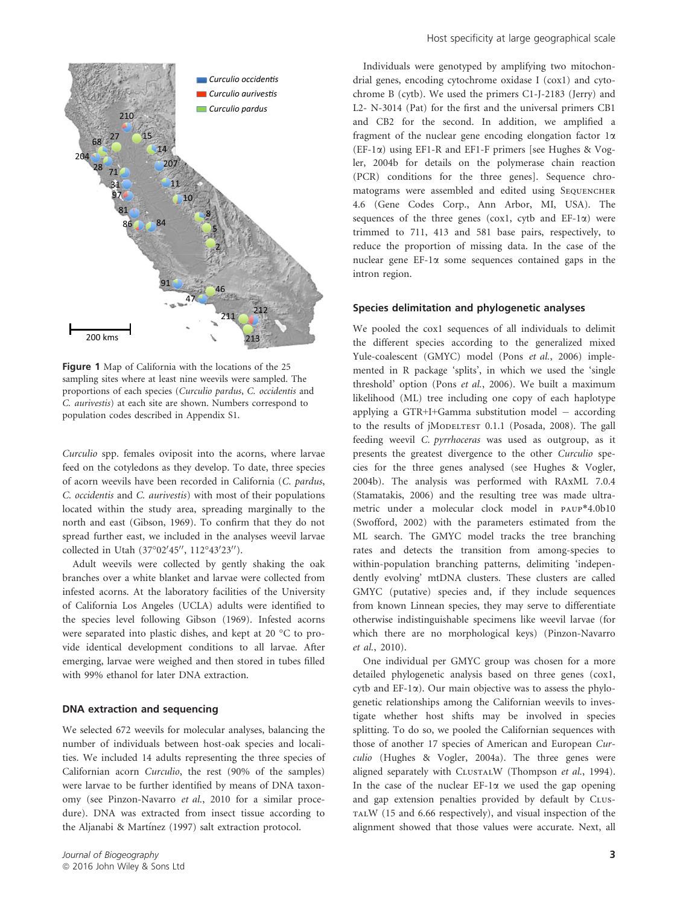

Figure 1 Map of California with the locations of the 25 sampling sites where at least nine weevils were sampled. The proportions of each species (Curculio pardus, C. occidentis and C. aurivestis) at each site are shown. Numbers correspond to population codes described in Appendix S1.

Curculio spp. females oviposit into the acorns, where larvae feed on the cotyledons as they develop. To date, three species of acorn weevils have been recorded in California (C. pardus, C. occidentis and C. aurivestis) with most of their populations located within the study area, spreading marginally to the north and east (Gibson, 1969). To confirm that they do not spread further east, we included in the analyses weevil larvae collected in Utah (37°02'45", 112°43'23").

Adult weevils were collected by gently shaking the oak branches over a white blanket and larvae were collected from infested acorns. At the laboratory facilities of the University of California Los Angeles (UCLA) adults were identified to the species level following Gibson (1969). Infested acorns were separated into plastic dishes, and kept at 20 °C to provide identical development conditions to all larvae. After emerging, larvae were weighed and then stored in tubes filled with 99% ethanol for later DNA extraction.

#### DNA extraction and sequencing

We selected 672 weevils for molecular analyses, balancing the number of individuals between host-oak species and localities. We included 14 adults representing the three species of Californian acorn Curculio, the rest (90% of the samples) were larvae to be further identified by means of DNA taxonomy (see Pinzon-Navarro et al., 2010 for a similar procedure). DNA was extracted from insect tissue according to the Aljanabi & Martínez (1997) salt extraction protocol.

Individuals were genotyped by amplifying two mitochondrial genes, encoding cytochrome oxidase I (cox1) and cytochrome B (cytb). We used the primers C1-J-2183 (Jerry) and L2- N-3014 (Pat) for the first and the universal primers CB1 and CB2 for the second. In addition, we amplified a fragment of the nuclear gene encoding elongation factor  $1\alpha$ (EF-1a) using EF1-R and EF1-F primers [see Hughes & Vogler, 2004b for details on the polymerase chain reaction (PCR) conditions for the three genes]. Sequence chromatograms were assembled and edited using SEQUENCHER 4.6 (Gene Codes Corp., Ann Arbor, MI, USA). The sequences of the three genes ( $\cos 1$ ,  $\cosh 1$  and  $EF-1\alpha$ ) were trimmed to 711, 413 and 581 base pairs, respectively, to reduce the proportion of missing data. In the case of the nuclear gene EF-1a some sequences contained gaps in the intron region.

#### Species delimitation and phylogenetic analyses

We pooled the cox1 sequences of all individuals to delimit the different species according to the generalized mixed Yule-coalescent (GMYC) model (Pons et al., 2006) implemented in R package 'splits', in which we used the 'single threshold' option (Pons et al., 2006). We built a maximum likelihood (ML) tree including one copy of each haplotype applying a GTR+I+Gamma substitution model – according to the results of jMoDELTEST 0.1.1 (Posada, 2008). The gall feeding weevil C. pyrrhoceras was used as outgroup, as it presents the greatest divergence to the other Curculio species for the three genes analysed (see Hughes & Vogler, 2004b). The analysis was performed with RAxML 7.0.4 (Stamatakis, 2006) and the resulting tree was made ultrametric under a molecular clock model in paup\*4.0b10 (Swofford, 2002) with the parameters estimated from the ML search. The GMYC model tracks the tree branching rates and detects the transition from among-species to within-population branching patterns, delimiting 'independently evolving' mtDNA clusters. These clusters are called GMYC (putative) species and, if they include sequences from known Linnean species, they may serve to differentiate otherwise indistinguishable specimens like weevil larvae (for which there are no morphological keys) (Pinzon-Navarro et al., 2010).

One individual per GMYC group was chosen for a more detailed phylogenetic analysis based on three genes (cox1, cytb and  $EF-1\alpha$ ). Our main objective was to assess the phylogenetic relationships among the Californian weevils to investigate whether host shifts may be involved in species splitting. To do so, we pooled the Californian sequences with those of another 17 species of American and European Curculio (Hughes & Vogler, 2004a). The three genes were aligned separately with CLUSTALW (Thompson et al., 1994). In the case of the nuclear  $EF-1\alpha$  we used the gap opening and gap extension penalties provided by default by CLUS-TALW (15 and 6.66 respectively), and visual inspection of the alignment showed that those values were accurate. Next, all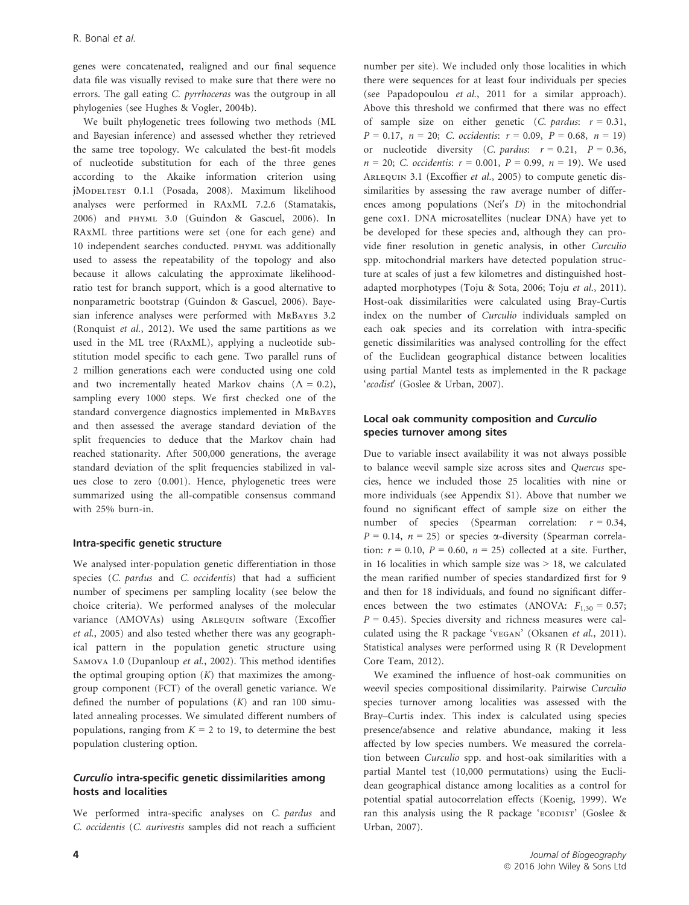genes were concatenated, realigned and our final sequence data file was visually revised to make sure that there were no errors. The gall eating C. pyrrhoceras was the outgroup in all phylogenies (see Hughes & Vogler, 2004b).

We built phylogenetic trees following two methods (ML and Bayesian inference) and assessed whether they retrieved the same tree topology. We calculated the best-fit models of nucleotide substitution for each of the three genes according to the Akaike information criterion using jModeltest 0.1.1 (Posada, 2008). Maximum likelihood analyses were performed in RAxML 7.2.6 (Stamatakis, 2006) and phyml 3.0 (Guindon & Gascuel, 2006). In RAxML three partitions were set (one for each gene) and 10 independent searches conducted. phyml was additionally used to assess the repeatability of the topology and also because it allows calculating the approximate likelihoodratio test for branch support, which is a good alternative to nonparametric bootstrap (Guindon & Gascuel, 2006). Bayesian inference analyses were performed with MrBayes 3.2 (Ronquist et al., 2012). We used the same partitions as we used in the ML tree (RAxML), applying a nucleotide substitution model specific to each gene. Two parallel runs of 2 million generations each were conducted using one cold and two incrementally heated Markov chains  $(\Lambda = 0.2)$ , sampling every 1000 steps. We first checked one of the standard convergence diagnostics implemented in MrBayes and then assessed the average standard deviation of the split frequencies to deduce that the Markov chain had reached stationarity. After 500,000 generations, the average standard deviation of the split frequencies stabilized in values close to zero (0.001). Hence, phylogenetic trees were summarized using the all-compatible consensus command with 25% burn-in.

## Intra-specific genetic structure

We analysed inter-population genetic differentiation in those species (C. pardus and C. occidentis) that had a sufficient number of specimens per sampling locality (see below the choice criteria). We performed analyses of the molecular variance (AMOVAs) using Arlequin software (Excoffier et al., 2005) and also tested whether there was any geographical pattern in the population genetic structure using SAMOVA 1.0 (Dupanloup et al., 2002). This method identifies the optimal grouping option  $(K)$  that maximizes the amonggroup component (FCT) of the overall genetic variance. We defined the number of populations  $(K)$  and ran 100 simulated annealing processes. We simulated different numbers of populations, ranging from  $K = 2$  to 19, to determine the best population clustering option.

# Curculio intra-specific genetic dissimilarities among hosts and localities

We performed intra-specific analyses on C. pardus and C. occidentis (C. aurivestis samples did not reach a sufficient number per site). We included only those localities in which there were sequences for at least four individuals per species (see Papadopoulou et al., 2011 for a similar approach). Above this threshold we confirmed that there was no effect of sample size on either genetic (C. pardus:  $r = 0.31$ ,  $P = 0.17$ ,  $n = 20$ ; C. occidentis:  $r = 0.09$ ,  $P = 0.68$ ,  $n = 19$ ) or nucleotide diversity (*C. pardus:*  $r = 0.21$ ,  $P = 0.36$ ,  $n = 20$ ; C. occidentis:  $r = 0.001$ ,  $P = 0.99$ ,  $n = 19$ ). We used ARLEQUIN 3.1 (Excoffier et al., 2005) to compute genetic dissimilarities by assessing the raw average number of differences among populations (Nei's  $D$ ) in the mitochondrial gene cox1. DNA microsatellites (nuclear DNA) have yet to be developed for these species and, although they can provide finer resolution in genetic analysis, in other Curculio spp. mitochondrial markers have detected population structure at scales of just a few kilometres and distinguished hostadapted morphotypes (Toju & Sota, 2006; Toju et al., 2011). Host-oak dissimilarities were calculated using Bray-Curtis index on the number of Curculio individuals sampled on each oak species and its correlation with intra-specific genetic dissimilarities was analysed controlling for the effect of the Euclidean geographical distance between localities using partial Mantel tests as implemented in the R package 'ecodist' (Goslee & Urban, 2007).

# Local oak community composition and Curculio species turnover among sites

Due to variable insect availability it was not always possible to balance weevil sample size across sites and Quercus species, hence we included those 25 localities with nine or more individuals (see Appendix S1). Above that number we found no significant effect of sample size on either the number of species (Spearman correlation:  $r = 0.34$ ,  $P = 0.14$ ,  $n = 25$ ) or species  $\alpha$ -diversity (Spearman correlation:  $r = 0.10$ ,  $P = 0.60$ ,  $n = 25$ ) collected at a site. Further, in 16 localities in which sample size was  $> 18$ , we calculated the mean rarified number of species standardized first for 9 and then for 18 individuals, and found no significant differences between the two estimates (ANOVA:  $F_{1,30} = 0.57$ ;  $P = 0.45$ ). Species diversity and richness measures were calculated using the R package 'vegan' (Oksanen et al., 2011). Statistical analyses were performed using R (R Development Core Team, 2012).

We examined the influence of host-oak communities on weevil species compositional dissimilarity. Pairwise Curculio species turnover among localities was assessed with the Bray–Curtis index. This index is calculated using species presence/absence and relative abundance, making it less affected by low species numbers. We measured the correlation between Curculio spp. and host-oak similarities with a partial Mantel test (10,000 permutations) using the Euclidean geographical distance among localities as a control for potential spatial autocorrelation effects (Koenig, 1999). We ran this analysis using the R package 'ECODIST' (Goslee & Urban, 2007).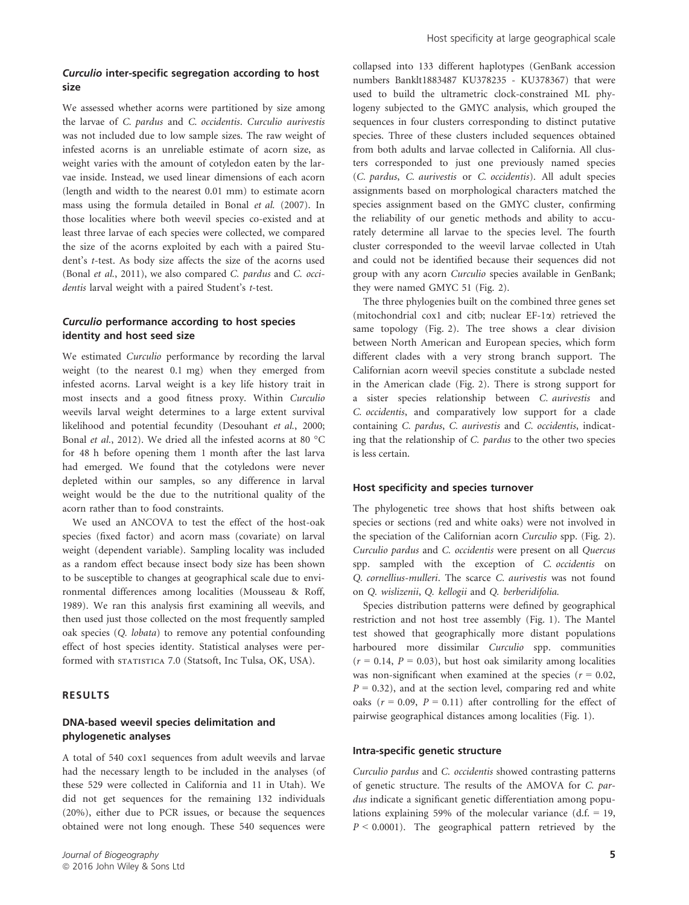#### Curculio inter-specific segregation according to host size

We assessed whether acorns were partitioned by size among the larvae of C. pardus and C. occidentis. Curculio aurivestis was not included due to low sample sizes. The raw weight of infested acorns is an unreliable estimate of acorn size, as weight varies with the amount of cotyledon eaten by the larvae inside. Instead, we used linear dimensions of each acorn (length and width to the nearest 0.01 mm) to estimate acorn mass using the formula detailed in Bonal et al. (2007). In those localities where both weevil species co-existed and at least three larvae of each species were collected, we compared the size of the acorns exploited by each with a paired Student's t-test. As body size affects the size of the acorns used (Bonal et al., 2011), we also compared C. pardus and C. occidentis larval weight with a paired Student's t-test.

# Curculio performance according to host species identity and host seed size

We estimated Curculio performance by recording the larval weight (to the nearest 0.1 mg) when they emerged from infested acorns. Larval weight is a key life history trait in most insects and a good fitness proxy. Within Curculio weevils larval weight determines to a large extent survival likelihood and potential fecundity (Desouhant et al., 2000; Bonal et al., 2012). We dried all the infested acorns at 80 °C for 48 h before opening them 1 month after the last larva had emerged. We found that the cotyledons were never depleted within our samples, so any difference in larval weight would be the due to the nutritional quality of the acorn rather than to food constraints.

We used an ANCOVA to test the effect of the host-oak species (fixed factor) and acorn mass (covariate) on larval weight (dependent variable). Sampling locality was included as a random effect because insect body size has been shown to be susceptible to changes at geographical scale due to environmental differences among localities (Mousseau & Roff, 1989). We ran this analysis first examining all weevils, and then used just those collected on the most frequently sampled oak species (Q. lobata) to remove any potential confounding effect of host species identity. Statistical analyses were performed with statistica 7.0 (Statsoft, Inc Tulsa, OK, USA).

#### RESULTS

## DNA-based weevil species delimitation and phylogenetic analyses

A total of 540 cox1 sequences from adult weevils and larvae had the necessary length to be included in the analyses (of these 529 were collected in California and 11 in Utah). We did not get sequences for the remaining 132 individuals (20%), either due to PCR issues, or because the sequences obtained were not long enough. These 540 sequences were collapsed into 133 different haplotypes (GenBank accession numbers Banklt1883487 KU378235 - KU378367) that were used to build the ultrametric clock-constrained ML phylogeny subjected to the GMYC analysis, which grouped the sequences in four clusters corresponding to distinct putative species. Three of these clusters included sequences obtained from both adults and larvae collected in California. All clusters corresponded to just one previously named species (C. pardus, C. aurivestis or C. occidentis). All adult species assignments based on morphological characters matched the species assignment based on the GMYC cluster, confirming the reliability of our genetic methods and ability to accurately determine all larvae to the species level. The fourth cluster corresponded to the weevil larvae collected in Utah and could not be identified because their sequences did not group with any acorn Curculio species available in GenBank; they were named GMYC 51 (Fig. 2).

The three phylogenies built on the combined three genes set (mitochondrial cox1 and citb; nuclear EF-1a) retrieved the same topology (Fig. 2). The tree shows a clear division between North American and European species, which form different clades with a very strong branch support. The Californian acorn weevil species constitute a subclade nested in the American clade (Fig. 2). There is strong support for a sister species relationship between C. aurivestis and C. occidentis, and comparatively low support for a clade containing C. pardus, C. aurivestis and C. occidentis, indicating that the relationship of C. pardus to the other two species is less certain.

#### Host specificity and species turnover

The phylogenetic tree shows that host shifts between oak species or sections (red and white oaks) were not involved in the speciation of the Californian acorn Curculio spp. (Fig. 2). Curculio pardus and C. occidentis were present on all Quercus spp. sampled with the exception of C. occidentis on Q. cornellius-mulleri. The scarce C. aurivestis was not found on Q. wislizenii, Q. kellogii and Q. berberidifolia.

Species distribution patterns were defined by geographical restriction and not host tree assembly (Fig. 1). The Mantel test showed that geographically more distant populations harboured more dissimilar Curculio spp. communities  $(r = 0.14, P = 0.03)$ , but host oak similarity among localities was non-significant when examined at the species ( $r = 0.02$ ,  $P = 0.32$ ), and at the section level, comparing red and white oaks ( $r = 0.09$ ,  $P = 0.11$ ) after controlling for the effect of pairwise geographical distances among localities (Fig. 1).

#### Intra-specific genetic structure

Curculio pardus and C. occidentis showed contrasting patterns of genetic structure. The results of the AMOVA for C. pardus indicate a significant genetic differentiation among populations explaining 59% of the molecular variance  $(d.f. = 19,$  $P < 0.0001$ ). The geographical pattern retrieved by the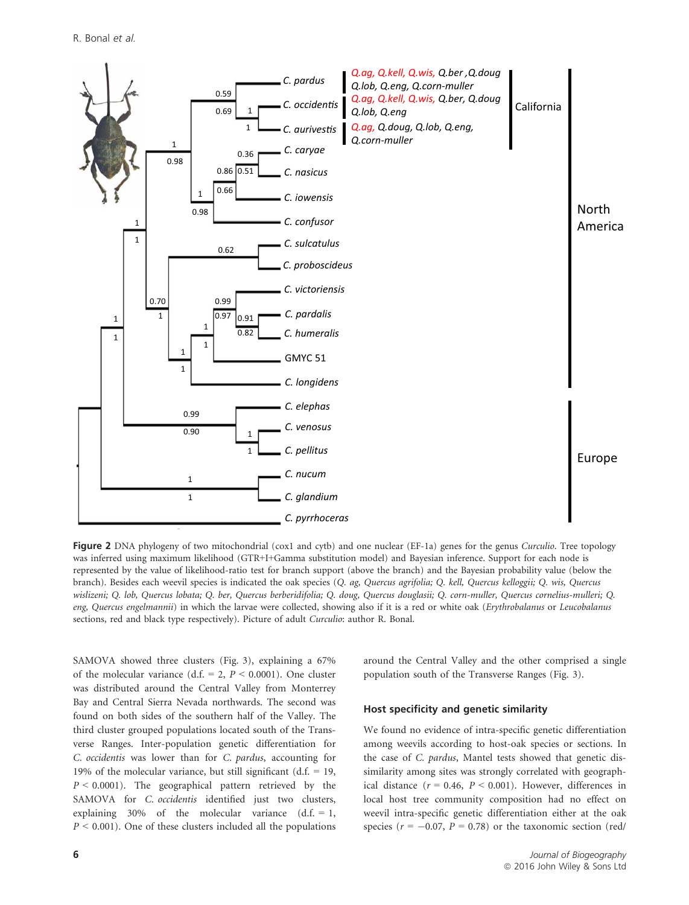

Figure 2 DNA phylogeny of two mitochondrial (cox1 and cytb) and one nuclear (EF-1a) genes for the genus *Curculio*. Tree topology was inferred using maximum likelihood (GTR+I+Gamma substitution model) and Bayesian inference. Support for each node is represented by the value of likelihood-ratio test for branch support (above the branch) and the Bayesian probability value (below the branch). Besides each weevil species is indicated the oak species (Q. ag, Quercus agrifolia; Q. kell, Quercus kelloggii; Q. wis, Quercus wislizeni; Q. lob, Quercus lobata; Q. ber, Quercus berberidifolia; Q. doug, Quercus douglasii; Q. corn-muller, Quercus cornelius-mulleri; Q. eng, Quercus engelmannii) in which the larvae were collected, showing also if it is a red or white oak (Erythrobalanus or Leucobalanus sections, red and black type respectively). Picture of adult Curculio: author R. Bonal.

SAMOVA showed three clusters (Fig. 3), explaining a 67% of the molecular variance (d.f.  $= 2$ ,  $P < 0.0001$ ). One cluster was distributed around the Central Valley from Monterrey Bay and Central Sierra Nevada northwards. The second was found on both sides of the southern half of the Valley. The third cluster grouped populations located south of the Transverse Ranges. Inter-population genetic differentiation for C. occidentis was lower than for C. pardus, accounting for 19% of the molecular variance, but still significant  $(d.f. = 19,$  $P < 0.0001$ ). The geographical pattern retrieved by the SAMOVA for *C. occidentis* identified just two clusters, explaining 30% of the molecular variance  $(d.f. = 1,$  $P \leq 0.001$ ). One of these clusters included all the populations around the Central Valley and the other comprised a single population south of the Transverse Ranges (Fig. 3).

## Host specificity and genetic similarity

We found no evidence of intra-specific genetic differentiation among weevils according to host-oak species or sections. In the case of C. pardus, Mantel tests showed that genetic dissimilarity among sites was strongly correlated with geographical distance ( $r = 0.46$ ,  $P < 0.001$ ). However, differences in local host tree community composition had no effect on weevil intra-specific genetic differentiation either at the oak species ( $r = -0.07$ ,  $P = 0.78$ ) or the taxonomic section (red/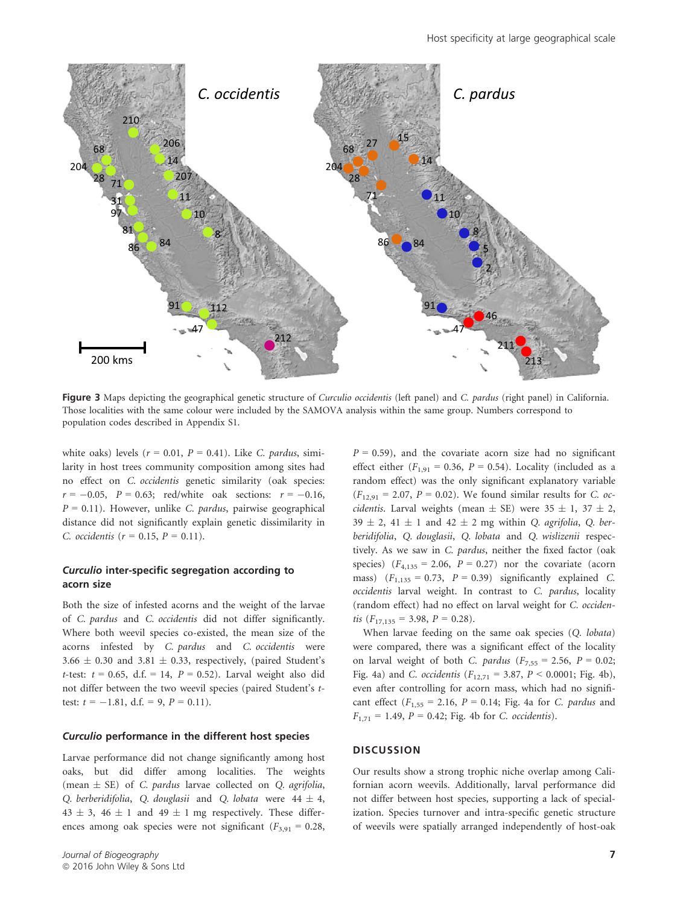

Figure 3 Maps depicting the geographical genetic structure of Curculio occidentis (left panel) and C. pardus (right panel) in California. Those localities with the same colour were included by the SAMOVA analysis within the same group. Numbers correspond to population codes described in Appendix S1.

white oaks) levels ( $r = 0.01$ ,  $P = 0.41$ ). Like C. pardus, similarity in host trees community composition among sites had no effect on C. occidentis genetic similarity (oak species:  $r = -0.05$ ,  $P = 0.63$ ; red/white oak sections:  $r = -0.16$ ,  $P = 0.11$ ). However, unlike C. pardus, pairwise geographical distance did not significantly explain genetic dissimilarity in C. occidentis ( $r = 0.15$ ,  $P = 0.11$ ).

# Curculio inter-specific segregation according to acorn size

Both the size of infested acorns and the weight of the larvae of C. pardus and C. occidentis did not differ significantly. Where both weevil species co-existed, the mean size of the acorns infested by C. pardus and C. occidentis were 3.66  $\pm$  0.30 and 3.81  $\pm$  0.33, respectively, (paired Student's t-test:  $t = 0.65$ , d.f. = 14,  $P = 0.52$ ). Larval weight also did not differ between the two weevil species (paired Student's ttest:  $t = -1.81$ , d.f. = 9,  $P = 0.11$ ).

#### Curculio performance in the different host species

Larvae performance did not change significantly among host oaks, but did differ among localities. The weights (mean  $\pm$  SE) of C. pardus larvae collected on Q. agrifolia, Q. berberidifolia, Q. douglasii and Q. lobata were  $44 \pm 4$ ,  $43 \pm 3$ ,  $46 \pm 1$  and  $49 \pm 1$  mg respectively. These differences among oak species were not significant  $(F_{3,91} = 0.28,$ 

Journal of Biogeography ª 2016 John Wiley & Sons Ltd

 $P = 0.59$ ), and the covariate acorn size had no significant effect either  $(F_{1,91} = 0.36, P = 0.54)$ . Locality (included as a random effect) was the only significant explanatory variable  $(F_{12,91} = 2.07, P = 0.02)$ . We found similar results for C. oc*cidentis*. Larval weights (mean  $\pm$  SE) were 35  $\pm$  1, 37  $\pm$  2, 39  $\pm$  2, 41  $\pm$  1 and 42  $\pm$  2 mg within Q. agrifolia, Q. berberidifolia, Q. douglasii, Q. lobata and Q. wislizenii respectively. As we saw in C. pardus, neither the fixed factor (oak species)  $(F_{4,135} = 2.06, P = 0.27)$  nor the covariate (acorn mass)  $(F<sub>1,135</sub> = 0.73, P = 0.39)$  significantly explained C. occidentis larval weight. In contrast to C. pardus, locality (random effect) had no effect on larval weight for C. occidentis  $(F_{17,135} = 3.98, P = 0.28)$ .

When larvae feeding on the same oak species (Q. lobata) were compared, there was a significant effect of the locality on larval weight of both C. pardus ( $F_{7,55} = 2.56$ ,  $P = 0.02$ ; Fig. 4a) and *C. occidentis* ( $F_{12,71} = 3.87$ ,  $P < 0.0001$ ; Fig. 4b), even after controlling for acorn mass, which had no significant effect  $(F_{1,55} = 2.16, P = 0.14; Fig. 4a for C. *pardus* and$  $F_{1,71} = 1.49, P = 0.42$ ; Fig. 4b for C. occidentis).

#### **DISCUSSION**

Our results show a strong trophic niche overlap among Californian acorn weevils. Additionally, larval performance did not differ between host species, supporting a lack of specialization. Species turnover and intra-specific genetic structure of weevils were spatially arranged independently of host-oak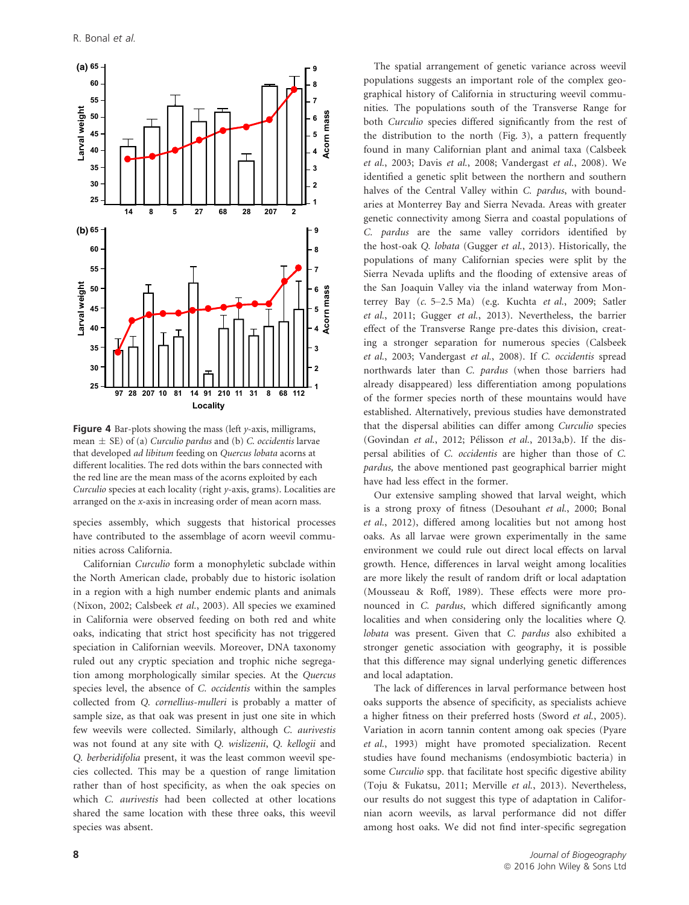

**Figure 4** Bar-plots showing the mass (left  $y$ -axis, milligrams, mean  $\pm$  SE) of (a) Curculio pardus and (b) C. occidentis larvae that developed ad libitum feeding on Quercus lobata acorns at different localities. The red dots within the bars connected with the red line are the mean mass of the acorns exploited by each Curculio species at each locality (right y-axis, grams). Localities are arranged on the x-axis in increasing order of mean acorn mass.

species assembly, which suggests that historical processes have contributed to the assemblage of acorn weevil communities across California.

Californian Curculio form a monophyletic subclade within the North American clade, probably due to historic isolation in a region with a high number endemic plants and animals (Nixon, 2002; Calsbeek et al., 2003). All species we examined in California were observed feeding on both red and white oaks, indicating that strict host specificity has not triggered speciation in Californian weevils. Moreover, DNA taxonomy ruled out any cryptic speciation and trophic niche segregation among morphologically similar species. At the Quercus species level, the absence of C. occidentis within the samples collected from Q. cornellius-mulleri is probably a matter of sample size, as that oak was present in just one site in which few weevils were collected. Similarly, although C. aurivestis was not found at any site with Q. wislizenii, Q. kellogii and Q. berberidifolia present, it was the least common weevil species collected. This may be a question of range limitation rather than of host specificity, as when the oak species on which C. aurivestis had been collected at other locations shared the same location with these three oaks, this weevil species was absent.

The spatial arrangement of genetic variance across weevil populations suggests an important role of the complex geographical history of California in structuring weevil communities. The populations south of the Transverse Range for both Curculio species differed significantly from the rest of the distribution to the north (Fig. 3), a pattern frequently found in many Californian plant and animal taxa (Calsbeek et al., 2003; Davis et al., 2008; Vandergast et al., 2008). We identified a genetic split between the northern and southern halves of the Central Valley within C. pardus, with boundaries at Monterrey Bay and Sierra Nevada. Areas with greater genetic connectivity among Sierra and coastal populations of C. pardus are the same valley corridors identified by the host-oak Q. lobata (Gugger et al., 2013). Historically, the populations of many Californian species were split by the Sierra Nevada uplifts and the flooding of extensive areas of the San Joaquin Valley via the inland waterway from Monterrey Bay (c. 5–2.5 Ma) (e.g. Kuchta et al., 2009; Satler et al., 2011; Gugger et al., 2013). Nevertheless, the barrier effect of the Transverse Range pre-dates this division, creating a stronger separation for numerous species (Calsbeek et al., 2003; Vandergast et al., 2008). If C. occidentis spread northwards later than C. pardus (when those barriers had already disappeared) less differentiation among populations of the former species north of these mountains would have established. Alternatively, previous studies have demonstrated that the dispersal abilities can differ among Curculio species (Govindan et al., 2012; Pélisson et al., 2013a,b). If the dispersal abilities of C. occidentis are higher than those of C. pardus, the above mentioned past geographical barrier might have had less effect in the former.

Our extensive sampling showed that larval weight, which is a strong proxy of fitness (Desouhant et al., 2000; Bonal et al., 2012), differed among localities but not among host oaks. As all larvae were grown experimentally in the same environment we could rule out direct local effects on larval growth. Hence, differences in larval weight among localities are more likely the result of random drift or local adaptation (Mousseau & Roff, 1989). These effects were more pronounced in C. pardus, which differed significantly among localities and when considering only the localities where Q. lobata was present. Given that C. pardus also exhibited a stronger genetic association with geography, it is possible that this difference may signal underlying genetic differences and local adaptation.

The lack of differences in larval performance between host oaks supports the absence of specificity, as specialists achieve a higher fitness on their preferred hosts (Sword et al., 2005). Variation in acorn tannin content among oak species (Pyare et al., 1993) might have promoted specialization. Recent studies have found mechanisms (endosymbiotic bacteria) in some Curculio spp. that facilitate host specific digestive ability (Toju & Fukatsu, 2011; Merville et al., 2013). Nevertheless, our results do not suggest this type of adaptation in Californian acorn weevils, as larval performance did not differ among host oaks. We did not find inter-specific segregation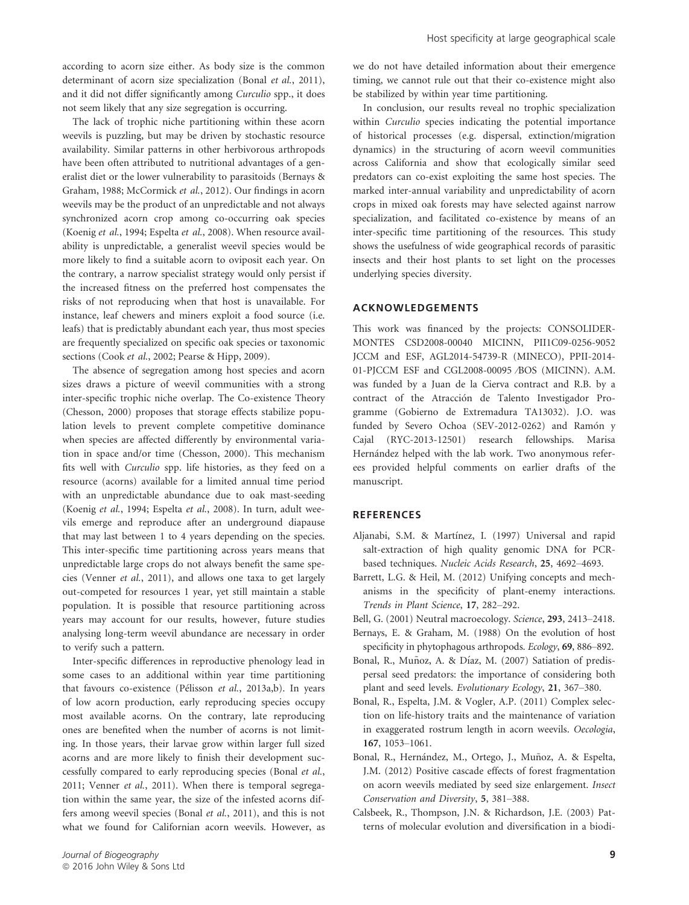according to acorn size either. As body size is the common determinant of acorn size specialization (Bonal et al., 2011), and it did not differ significantly among Curculio spp., it does not seem likely that any size segregation is occurring.

The lack of trophic niche partitioning within these acorn weevils is puzzling, but may be driven by stochastic resource availability. Similar patterns in other herbivorous arthropods have been often attributed to nutritional advantages of a generalist diet or the lower vulnerability to parasitoids (Bernays & Graham, 1988; McCormick et al., 2012). Our findings in acorn weevils may be the product of an unpredictable and not always synchronized acorn crop among co-occurring oak species (Koenig et al., 1994; Espelta et al., 2008). When resource availability is unpredictable, a generalist weevil species would be more likely to find a suitable acorn to oviposit each year. On the contrary, a narrow specialist strategy would only persist if the increased fitness on the preferred host compensates the risks of not reproducing when that host is unavailable. For instance, leaf chewers and miners exploit a food source (i.e. leafs) that is predictably abundant each year, thus most species are frequently specialized on specific oak species or taxonomic sections (Cook et al., 2002; Pearse & Hipp, 2009).

The absence of segregation among host species and acorn sizes draws a picture of weevil communities with a strong inter-specific trophic niche overlap. The Co-existence Theory (Chesson, 2000) proposes that storage effects stabilize population levels to prevent complete competitive dominance when species are affected differently by environmental variation in space and/or time (Chesson, 2000). This mechanism fits well with Curculio spp. life histories, as they feed on a resource (acorns) available for a limited annual time period with an unpredictable abundance due to oak mast-seeding (Koenig et al., 1994; Espelta et al., 2008). In turn, adult weevils emerge and reproduce after an underground diapause that may last between 1 to 4 years depending on the species. This inter-specific time partitioning across years means that unpredictable large crops do not always benefit the same species (Venner et al., 2011), and allows one taxa to get largely out-competed for resources 1 year, yet still maintain a stable population. It is possible that resource partitioning across years may account for our results, however, future studies analysing long-term weevil abundance are necessary in order to verify such a pattern.

Inter-specific differences in reproductive phenology lead in some cases to an additional within year time partitioning that favours co-existence (Pelisson et al., 2013a,b). In years of low acorn production, early reproducing species occupy most available acorns. On the contrary, late reproducing ones are benefited when the number of acorns is not limiting. In those years, their larvae grow within larger full sized acorns and are more likely to finish their development successfully compared to early reproducing species (Bonal et al., 2011; Venner et al., 2011). When there is temporal segregation within the same year, the size of the infested acorns differs among weevil species (Bonal et al., 2011), and this is not what we found for Californian acorn weevils. However, as we do not have detailed information about their emergence timing, we cannot rule out that their co-existence might also be stabilized by within year time partitioning.

In conclusion, our results reveal no trophic specialization within Curculio species indicating the potential importance of historical processes (e.g. dispersal, extinction/migration dynamics) in the structuring of acorn weevil communities across California and show that ecologically similar seed predators can co-exist exploiting the same host species. The marked inter-annual variability and unpredictability of acorn crops in mixed oak forests may have selected against narrow specialization, and facilitated co-existence by means of an inter-specific time partitioning of the resources. This study shows the usefulness of wide geographical records of parasitic insects and their host plants to set light on the processes underlying species diversity.

# ACKNOWLEDGEMENTS

This work was financed by the projects: CONSOLIDER-MONTES CSD2008-00040 MICINN, PII1C09-0256-9052 JCCM and ESF, AGL2014-54739-R (MINECO), PPII-2014- 01-PJCCM ESF and CGL2008-00095 ⁄BOS (MICINN). A.M. was funded by a Juan de la Cierva contract and R.B. by a contract of the Atraccion de Talento Investigador Pro gramme (Gobierno de Extremadura TA13032). J.O. was funded by Severo Ochoa (SEV-2012-0262) and Ramón y Cajal (RYC-2013-12501) research fellowships. Marisa Hernández helped with the lab work. Two anonymous referees provided helpful comments on earlier drafts of the manuscript.

#### **REFERENCES**

- Aljanabi, S.M. & Martínez, I. (1997) Universal and rapid salt-extraction of high quality genomic DNA for PCRbased techniques. Nucleic Acids Research, 25, 4692–4693.
- Barrett, L.G. & Heil, M. (2012) Unifying concepts and mechanisms in the specificity of plant-enemy interactions. Trends in Plant Science, 17, 282–292.
- Bell, G. (2001) Neutral macroecology. Science, 293, 2413–2418.
- Bernays, E. & Graham, M. (1988) On the evolution of host specificity in phytophagous arthropods. Ecology, 69, 886–892.
- Bonal, R., Muñoz, A. & Díaz, M. (2007) Satiation of predispersal seed predators: the importance of considering both plant and seed levels. Evolutionary Ecology, 21, 367–380.
- Bonal, R., Espelta, J.M. & Vogler, A.P. (2011) Complex selection on life-history traits and the maintenance of variation in exaggerated rostrum length in acorn weevils. Oecologia, 167, 1053–1061.
- Bonal, R., Hernández, M., Ortego, J., Muñoz, A. & Espelta, J.M. (2012) Positive cascade effects of forest fragmentation on acorn weevils mediated by seed size enlargement. Insect Conservation and Diversity, 5, 381–388.
- Calsbeek, R., Thompson, J.N. & Richardson, J.E. (2003) Patterns of molecular evolution and diversification in a biodi-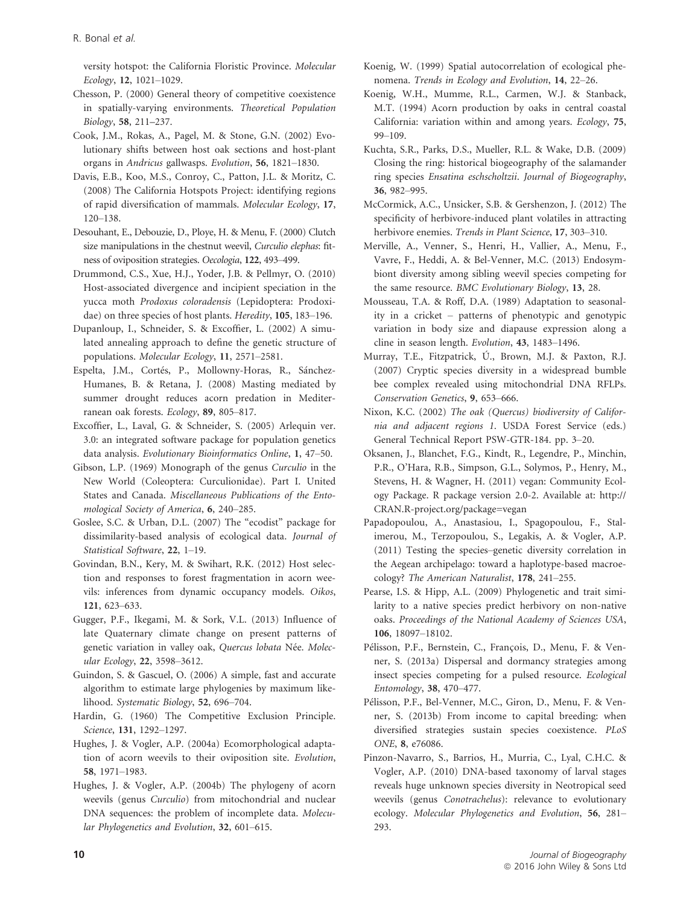versity hotspot: the California Floristic Province. Molecular Ecology, 12, 1021–1029.

Chesson, P. (2000) General theory of competitive coexistence in spatially-varying environments. Theoretical Population Biology, 58, 211–237.

Cook, J.M., Rokas, A., Pagel, M. & Stone, G.N. (2002) Evolutionary shifts between host oak sections and host-plant organs in Andricus gallwasps. Evolution, 56, 1821–1830.

- Davis, E.B., Koo, M.S., Conroy, C., Patton, J.L. & Moritz, C. (2008) The California Hotspots Project: identifying regions of rapid diversification of mammals. Molecular Ecology, 17, 120–138.
- Desouhant, E., Debouzie, D., Ploye, H. & Menu, F. (2000) Clutch size manipulations in the chestnut weevil, Curculio elephas: fitness of oviposition strategies. Oecologia, 122, 493–499.
- Drummond, C.S., Xue, H.J., Yoder, J.B. & Pellmyr, O. (2010) Host-associated divergence and incipient speciation in the yucca moth Prodoxus coloradensis (Lepidoptera: Prodoxidae) on three species of host plants. Heredity, 105, 183–196.
- Dupanloup, I., Schneider, S. & Excoffier, L. (2002) A simulated annealing approach to define the genetic structure of populations. Molecular Ecology, 11, 2571–2581.
- Espelta, J.M., Cortés, P., Mollowny-Horas, R., Sánchez-Humanes, B. & Retana, J. (2008) Masting mediated by summer drought reduces acorn predation in Mediterranean oak forests. Ecology, 89, 805–817.
- Excoffier, L., Laval, G. & Schneider, S. (2005) Arlequin ver. 3.0: an integrated software package for population genetics data analysis. Evolutionary Bioinformatics Online, 1, 47–50.
- Gibson, L.P. (1969) Monograph of the genus Curculio in the New World (Coleoptera: Curculionidae). Part I. United States and Canada. Miscellaneous Publications of the Entomological Society of America, 6, 240–285.
- Goslee, S.C. & Urban, D.L. (2007) The "ecodist" package for dissimilarity-based analysis of ecological data. Journal of Statistical Software, 22, 1–19.
- Govindan, B.N., Kery, M. & Swihart, R.K. (2012) Host selection and responses to forest fragmentation in acorn weevils: inferences from dynamic occupancy models. Oikos, 121, 623–633.
- Gugger, P.F., Ikegami, M. & Sork, V.L. (2013) Influence of late Quaternary climate change on present patterns of genetic variation in valley oak, Quercus lobata Née. Molecular Ecology, 22, 3598–3612.
- Guindon, S. & Gascuel, O. (2006) A simple, fast and accurate algorithm to estimate large phylogenies by maximum likelihood. Systematic Biology, 52, 696–704.
- Hardin, G. (1960) The Competitive Exclusion Principle. Science, 131, 1292–1297.
- Hughes, J. & Vogler, A.P. (2004a) Ecomorphological adaptation of acorn weevils to their oviposition site. Evolution, 58, 1971–1983.
- Hughes, J. & Vogler, A.P. (2004b) The phylogeny of acorn weevils (genus Curculio) from mitochondrial and nuclear DNA sequences: the problem of incomplete data. Molecular Phylogenetics and Evolution, 32, 601–615.
- Koenig, W. (1999) Spatial autocorrelation of ecological phenomena. Trends in Ecology and Evolution, 14, 22–26.
- Koenig, W.H., Mumme, R.L., Carmen, W.J. & Stanback, M.T. (1994) Acorn production by oaks in central coastal California: variation within and among years. Ecology, 75, 99–109.
- Kuchta, S.R., Parks, D.S., Mueller, R.L. & Wake, D.B. (2009) Closing the ring: historical biogeography of the salamander ring species Ensatina eschscholtzii. Journal of Biogeography, 36, 982–995.
- McCormick, A.C., Unsicker, S.B. & Gershenzon, J. (2012) The specificity of herbivore-induced plant volatiles in attracting herbivore enemies. Trends in Plant Science, 17, 303-310.
- Merville, A., Venner, S., Henri, H., Vallier, A., Menu, F., Vavre, F., Heddi, A. & Bel-Venner, M.C. (2013) Endosymbiont diversity among sibling weevil species competing for the same resource. BMC Evolutionary Biology, 13, 28.
- Mousseau, T.A. & Roff, D.A. (1989) Adaptation to seasonality in a cricket – patterns of phenotypic and genotypic variation in body size and diapause expression along a cline in season length. Evolution, 43, 1483–1496.
- Murray, T.E., Fitzpatrick, U., Brown, M.J. & Paxton, R.J. (2007) Cryptic species diversity in a widespread bumble bee complex revealed using mitochondrial DNA RFLPs. Conservation Genetics, 9, 653–666.
- Nixon, K.C. (2002) The oak (Quercus) biodiversity of California and adjacent regions 1. USDA Forest Service (eds.) General Technical Report PSW-GTR-184. pp. 3–20.
- Oksanen, J., Blanchet, F.G., Kindt, R., Legendre, P., Minchin, P.R., O'Hara, R.B., Simpson, G.L., Solymos, P., Henry, M., Stevens, H. & Wagner, H. (2011) vegan: Community Ecology Package. R package version 2.0-2. Available at: [http://](http://CRAN.R-project.org/package=vegan) [CRAN.R-project.org/package=vegan](http://CRAN.R-project.org/package=vegan)
- Papadopoulou, A., Anastasiou, I., Spagopoulou, F., Stalimerou, M., Terzopoulou, S., Legakis, A. & Vogler, A.P. (2011) Testing the species–genetic diversity correlation in the Aegean archipelago: toward a haplotype-based macroecology? The American Naturalist, 178, 241–255.
- Pearse, I.S. & Hipp, A.L. (2009) Phylogenetic and trait similarity to a native species predict herbivory on non-native oaks. Proceedings of the National Academy of Sciences USA, 106, 18097–18102.
- Pelisson, P.F., Bernstein, C., Francois, D., Menu, F. & Venner, S. (2013a) Dispersal and dormancy strategies among insect species competing for a pulsed resource. Ecological Entomology, 38, 470–477.
- Pelisson, P.F., Bel-Venner, M.C., Giron, D., Menu, F. & Venner, S. (2013b) From income to capital breeding: when diversified strategies sustain species coexistence. PLoS ONE, 8, e76086.
- Pinzon-Navarro, S., Barrios, H., Murria, C., Lyal, C.H.C. & Vogler, A.P. (2010) DNA-based taxonomy of larval stages reveals huge unknown species diversity in Neotropical seed weevils (genus Conotrachelus): relevance to evolutionary ecology. Molecular Phylogenetics and Evolution, 56, 281– 293.